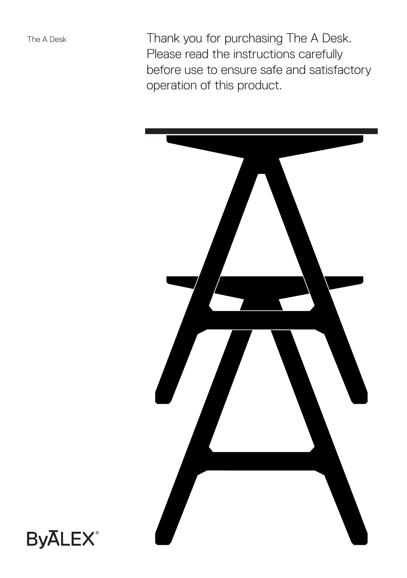Thank you for purchasing The A Desk. Please read the instructions carefully before use to ensure safe and satisfactory operation of this product.



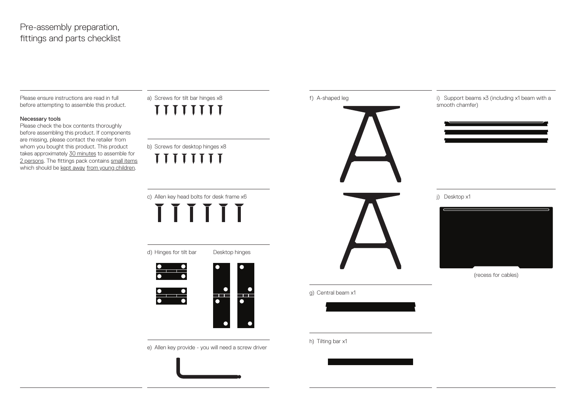# Pre-assembly preparation, fittings and parts checklist

Please ensure instructions are read in full before attempting to assemble this product.

## Necessary tools

Please check the box contents thoroughly before assembling this product. If components are missing, please contact the retailer from whom you bought this product. This product takes approximately 30 minutes to assemble for 2 persons. The fittings pack contains small items which should be kept away from young children.

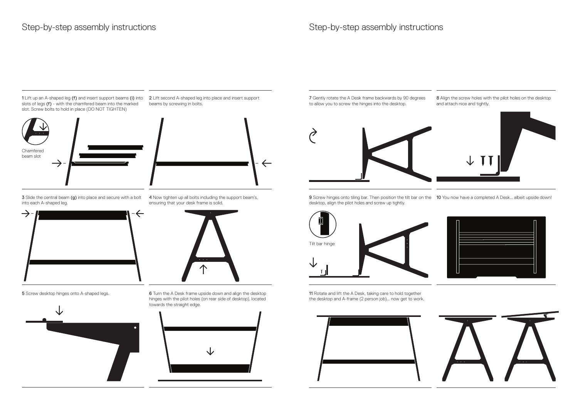1 Lift up an A-shaped leg (f) and insert support beams (i) into 2 Lift second A-shaped leg into place and insert support slots of legs (f) - with the chamfered beam into the marked slot. Screw bolts to hold in place (DO NOT TIGHTEN)



beams by screwing in bolts.



3 Slide the central beam (g) into place and secure with a bolt into each A-shaped leg.



**5** Screw desktop hinges onto A-shaped legs.



4 Now tighten up all bolts including the support beam's, ensuring that your desk frame is solid.



6 Turn the A Desk frame upside down and align the desktop hinges with the pilot holes (on rear side of desktop), located towards the straight edge.



7 Gently rotate the A Desk frame backwards by 90 degrees to allow you to screw the hinges into the desktop.

8 Align the screw holes with the pilot holes on the desktop and attach nice and tightly.



9 Screw hinges onto tiling bar. Then position the tilt bar on the 10 You now have a completed A Desk... albeit upside down! desktop, align the pilot holes and screw up tightly.





11 Rotate and lift the A Desk, taking care to hold together the desktop and A-frame (2 person job)... now get to work.